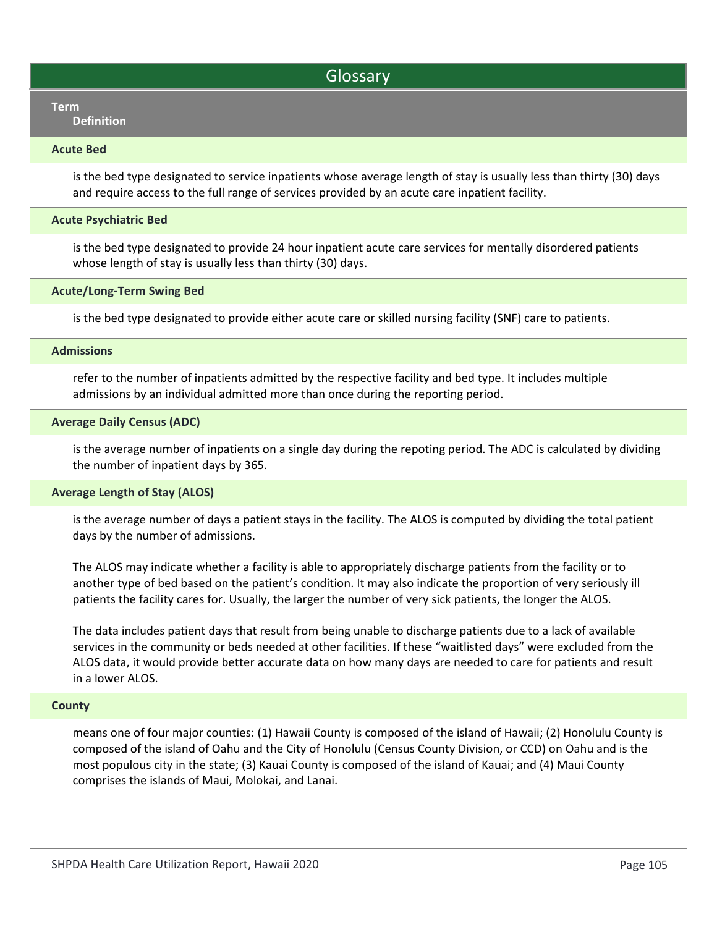## **Glossary**

# Term and the contract of the contract of the contract of the contract of the contract of the contract of the c

Definition

### Acute Bed

is the bed type designated to service inpatients whose average length of stay is usually less than thirty (30) days and require access to the full range of services provided by an acute care inpatient facility.

## Acute Psychiatric Bed

is the bed type designated to provide 24 hour inpatient acute care services for mentally disordered patients whose length of stay is usually less than thirty (30) days.

## Acute/Long-Term Swing Bed

is the bed type designated to provide either acute care or skilled nursing facility (SNF) care to patients.

## Admissions

refer to the number of inpatients admitted by the respective facility and bed type. It includes multiple admissions by an individual admitted more than once during the reporting period.

## Average Daily Census (ADC)

is the average number of inpatients on a single day during the repoting period. The ADC is calculated by dividing the number of inpatient days by 365.

## Average Length of Stay (ALOS)

is the average number of days a patient stays in the facility. The ALOS is computed by dividing the total patient days by the number of admissions.

The ALOS may indicate whether a facility is able to appropriately discharge patients from the facility or to another type of bed based on the patient's condition. It may also indicate the proportion of very seriously ill patients the facility cares for. Usually, the larger the number of very sick patients, the longer the ALOS.

The data includes patient days that result from being unable to discharge patients due to a lack of available services in the community or beds needed at other facilities. If these "waitlisted days" were excluded from the ALOS data, it would provide better accurate data on how many days are needed to care for patients and result in a lower ALOS.

## **County**

means one of four major counties: (1) Hawaii County is composed of the island of Hawaii; (2) Honolulu County is composed of the island of Oahu and the City of Honolulu (Census County Division, or CCD) on Oahu and is the most populous city in the state; (3) Kauai County is composed of the island of Kauai; and (4) Maui County comprises the islands of Maui, Molokai, and Lanai.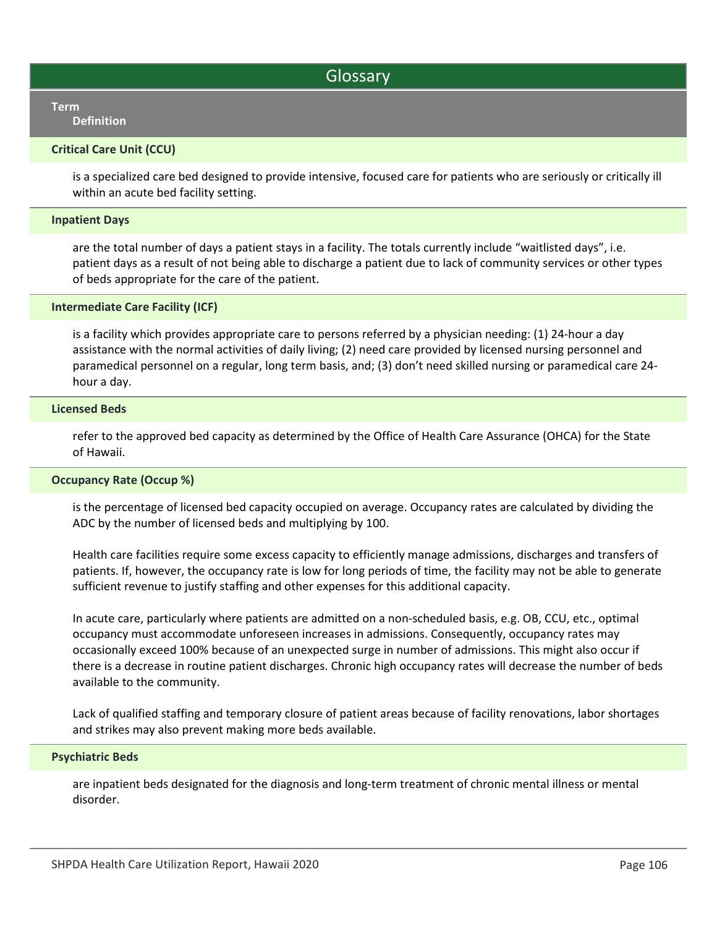## Glossary

#### Term and the contract of the contract of the contract of the contract of the contract of the contract of the c Definition

## Critical Care Unit (CCU)

is a specialized care bed designed to provide intensive, focused care for patients who are seriously or critically ill within an acute bed facility setting.

#### Inpatient Days

are the total number of days a patient stays in a facility. The totals currently include "waitlisted days", i.e. patient days as a result of not being able to discharge a patient due to lack of community services or other types of beds appropriate for the care of the patient.

#### Intermediate Care Facility (ICF)

is a facility which provides appropriate care to persons referred by a physician needing: (1) 24‐hour a day assistance with the normal activities of daily living; (2) need care provided by licensed nursing personnel and paramedical personnel on a regular, long term basis, and; (3) don't need skilled nursing or paramedical care 24‐ hour a day.

#### Licensed Beds

refer to the approved bed capacity as determined by the Office of Health Care Assurance (OHCA) for the State of Hawaii.

### Occupancy Rate (Occup %)

is the percentage of licensed bed capacity occupied on average. Occupancy rates are calculated by dividing the ADC by the number of licensed beds and multiplying by 100.

Health care facilities require some excess capacity to efficiently manage admissions, discharges and transfers of patients. If, however, the occupancy rate is low for long periods of time, the facility may not be able to generate sufficient revenue to justify staffing and other expenses for this additional capacity.

In acute care, particularly where patients are admitted on a non-scheduled basis, e.g. OB, CCU, etc., optimal occupancy must accommodate unforeseen increases in admissions. Consequently, occupancy rates may occasionally exceed 100% because of an unexpected surge in number of admissions. This might also occur if there is a decrease in routine patient discharges. Chronic high occupancy rates will decrease the number of beds available to the community.

Lack of qualified staffing and temporary closure of patient areas because of facility renovations, labor shortages and strikes may also prevent making more beds available.

#### Psychiatric Beds

are inpatient beds designated for the diagnosis and long-term treatment of chronic mental illness or mental disorder.